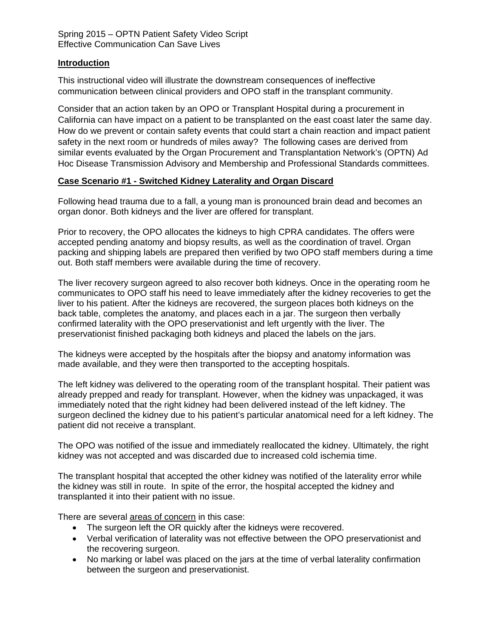### **Introduction**

This instructional video will illustrate the downstream consequences of ineffective communication between clinical providers and OPO staff in the transplant community.

Consider that an action taken by an OPO or Transplant Hospital during a procurement in California can have impact on a patient to be transplanted on the east coast later the same day. How do we prevent or contain safety events that could start a chain reaction and impact patient safety in the next room or hundreds of miles away? The following cases are derived from similar events evaluated by the Organ Procurement and Transplantation Network's (OPTN) Ad Hoc Disease Transmission Advisory and Membership and Professional Standards committees.

## **Case Scenario #1 - Switched Kidney Laterality and Organ Discard**

Following head trauma due to a fall, a young man is pronounced brain dead and becomes an organ donor. Both kidneys and the liver are offered for transplant.

Prior to recovery, the OPO allocates the kidneys to high CPRA candidates. The offers were accepted pending anatomy and biopsy results, as well as the coordination of travel. Organ packing and shipping labels are prepared then verified by two OPO staff members during a time out. Both staff members were available during the time of recovery.

The liver recovery surgeon agreed to also recover both kidneys. Once in the operating room he communicates to OPO staff his need to leave immediately after the kidney recoveries to get the liver to his patient. After the kidneys are recovered, the surgeon places both kidneys on the back table, completes the anatomy, and places each in a jar. The surgeon then verbally confirmed laterality with the OPO preservationist and left urgently with the liver. The preservationist finished packaging both kidneys and placed the labels on the jars.

The kidneys were accepted by the hospitals after the biopsy and anatomy information was made available, and they were then transported to the accepting hospitals.

The left kidney was delivered to the operating room of the transplant hospital. Their patient was already prepped and ready for transplant. However, when the kidney was unpackaged, it was immediately noted that the right kidney had been delivered instead of the left kidney. The surgeon declined the kidney due to his patient's particular anatomical need for a left kidney. The patient did not receive a transplant.

The OPO was notified of the issue and immediately reallocated the kidney. Ultimately, the right kidney was not accepted and was discarded due to increased cold ischemia time.

The transplant hospital that accepted the other kidney was notified of the laterality error while the kidney was still in route. In spite of the error, the hospital accepted the kidney and transplanted it into their patient with no issue.

There are several areas of concern in this case:

- The surgeon left the OR quickly after the kidneys were recovered.
- Verbal verification of laterality was not effective between the OPO preservationist and the recovering surgeon.
- No marking or label was placed on the jars at the time of verbal laterality confirmation between the surgeon and preservationist.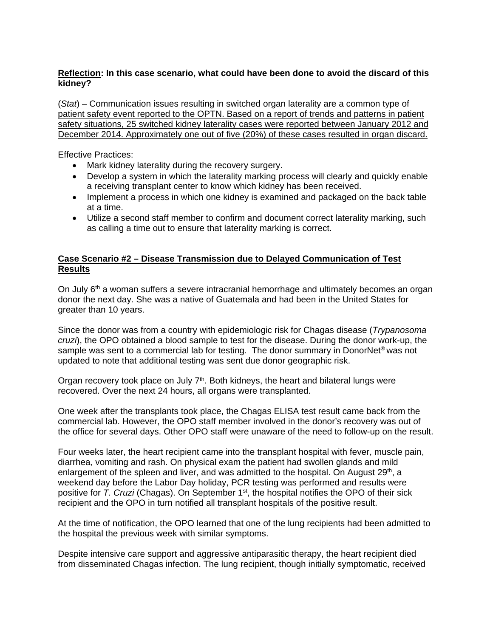### **Reflection: In this case scenario, what could have been done to avoid the discard of this kidney?**

(*Stat*) – Communication issues resulting in switched organ laterality are a common type of patient safety event reported to the OPTN. Based on a report of trends and patterns in patient safety situations, 25 switched kidney laterality cases were reported between January 2012 and December 2014. Approximately one out of five (20%) of these cases resulted in organ discard.

Effective Practices:

- Mark kidney laterality during the recovery surgery.
- Develop a system in which the laterality marking process will clearly and quickly enable a receiving transplant center to know which kidney has been received.
- Implement a process in which one kidney is examined and packaged on the back table at a time.
- Utilize a second staff member to confirm and document correct laterality marking, such as calling a time out to ensure that laterality marking is correct.

## **Case Scenario #2 – Disease Transmission due to Delayed Communication of Test Results**

On July  $6<sup>th</sup>$  a woman suffers a severe intracranial hemorrhage and ultimately becomes an organ donor the next day. She was a native of Guatemala and had been in the United States for greater than 10 years.

Since the donor was from a country with epidemiologic risk for Chagas disease (*Trypanosoma cruzi*), the OPO obtained a blood sample to test for the disease. During the donor work-up, the sample was sent to a commercial lab for testing. The donor summary in DonorNet<sup>®</sup> was not updated to note that additional testing was sent due donor geographic risk.

Organ recovery took place on July  $7<sup>th</sup>$ . Both kidneys, the heart and bilateral lungs were recovered. Over the next 24 hours, all organs were transplanted.

One week after the transplants took place, the Chagas ELISA test result came back from the commercial lab. However, the OPO staff member involved in the donor's recovery was out of the office for several days. Other OPO staff were unaware of the need to follow-up on the result.

Four weeks later, the heart recipient came into the transplant hospital with fever, muscle pain, diarrhea, vomiting and rash. On physical exam the patient had swollen glands and mild enlargement of the spleen and liver, and was admitted to the hospital. On August  $29<sup>th</sup>$ , a weekend day before the Labor Day holiday, PCR testing was performed and results were positive for *T. Cruzi* (Chagas). On September 1<sup>st</sup>, the hospital notifies the OPO of their sick recipient and the OPO in turn notified all transplant hospitals of the positive result.

At the time of notification, the OPO learned that one of the lung recipients had been admitted to the hospital the previous week with similar symptoms.

Despite intensive care support and aggressive antiparasitic therapy, the heart recipient died from disseminated Chagas infection. The lung recipient, though initially symptomatic, received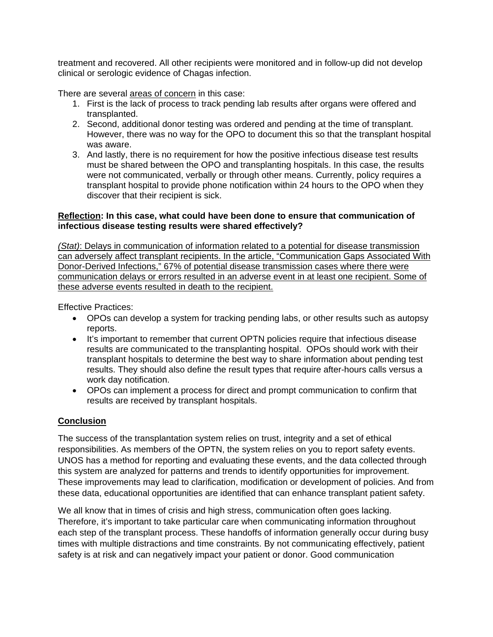treatment and recovered. All other recipients were monitored and in follow-up did not develop clinical or serologic evidence of Chagas infection.

There are several areas of concern in this case:

- 1. First is the lack of process to track pending lab results after organs were offered and transplanted.
- 2. Second, additional donor testing was ordered and pending at the time of transplant. However, there was no way for the OPO to document this so that the transplant hospital was aware.
- 3. And lastly, there is no requirement for how the positive infectious disease test results must be shared between the OPO and transplanting hospitals. In this case, the results were not communicated, verbally or through other means. Currently, policy requires a transplant hospital to provide phone notification within 24 hours to the OPO when they discover that their recipient is sick.

### **Reflection: In this case, what could have been done to ensure that communication of infectious disease testing results were shared effectively?**

*(Stat)*: Delays in communication of information related to a potential for disease transmission can adversely affect transplant recipients. In the article, "Communication Gaps Associated With Donor-Derived Infections," 67% of potential disease transmission cases where there were communication delays or errors resulted in an adverse event in at least one recipient. Some of these adverse events resulted in death to the recipient.

Effective Practices:

- OPOs can develop a system for tracking pending labs, or other results such as autopsy reports.
- It's important to remember that current OPTN policies require that infectious disease results are communicated to the transplanting hospital. OPOs should work with their transplant hospitals to determine the best way to share information about pending test results. They should also define the result types that require after-hours calls versus a work day notification.
- OPOs can implement a process for direct and prompt communication to confirm that results are received by transplant hospitals.

# **Conclusion**

The success of the transplantation system relies on trust, integrity and a set of ethical responsibilities. As members of the OPTN, the system relies on you to report safety events. UNOS has a method for reporting and evaluating these events, and the data collected through this system are analyzed for patterns and trends to identify opportunities for improvement. These improvements may lead to clarification, modification or development of policies. And from these data, educational opportunities are identified that can enhance transplant patient safety.

We all know that in times of crisis and high stress, communication often goes lacking. Therefore, it's important to take particular care when communicating information throughout each step of the transplant process. These handoffs of information generally occur during busy times with multiple distractions and time constraints. By not communicating effectively, patient safety is at risk and can negatively impact your patient or donor. Good communication